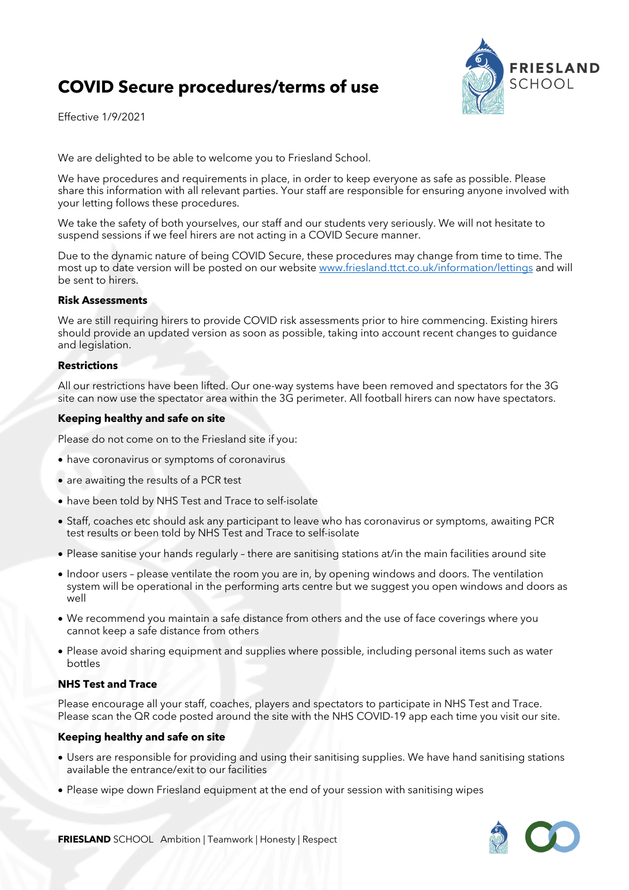# **COVID Secure procedures/terms of use**

Effective 1/9/2021



We are delighted to be able to welcome you to Friesland School.

We have procedures and requirements in place, in order to keep everyone as safe as possible. Please share this information with all relevant parties. Your staff are responsible for ensuring anyone involved with your letting follows these procedures.

We take the safety of both yourselves, our staff and our students very seriously. We will not hesitate to suspend sessions if we feel hirers are not acting in a COVID Secure manner.

Due to the dynamic nature of being COVID Secure, these procedures may change from time to time. The most up to date version will be posted on our website www.friesland.ttct.co.uk/information/lettings and will be sent to hirers.

# **Risk Assessments**

We are still requiring hirers to provide COVID risk assessments prior to hire commencing. Existing hirers should provide an updated version as soon as possible, taking into account recent changes to guidance and legislation.

# **Restrictions**

All our restrictions have been lifted. Our one-way systems have been removed and spectators for the 3G site can now use the spectator area within the 3G perimeter. All football hirers can now have spectators.

### **Keeping healthy and safe on site**

Please do not come on to the Friesland site if you:

- have coronavirus or symptoms of coronavirus
- are awaiting the results of a PCR test
- have been told by NHS Test and Trace to self-isolate
- Staff, coaches etc should ask any participant to leave who has coronavirus or symptoms, awaiting PCR test results or been told by NHS Test and Trace to self-isolate
- Please sanitise your hands regularly there are sanitising stations at/in the main facilities around site
- Indoor users please ventilate the room you are in, by opening windows and doors. The ventilation system will be operational in the performing arts centre but we suggest you open windows and doors as well
- We recommend you maintain a safe distance from others and the use of face coverings where you cannot keep a safe distance from others
- Please avoid sharing equipment and supplies where possible, including personal items such as water bottles

# **NHS Test and Trace**

Please encourage all your staff, coaches, players and spectators to participate in NHS Test and Trace. Please scan the QR code posted around the site with the NHS COVID-19 app each time you visit our site.

# **Keeping healthy and safe on site**

- Users are responsible for providing and using their sanitising supplies. We have hand sanitising stations available the entrance/exit to our facilities
- Please wipe down Friesland equipment at the end of your session with sanitising wipes